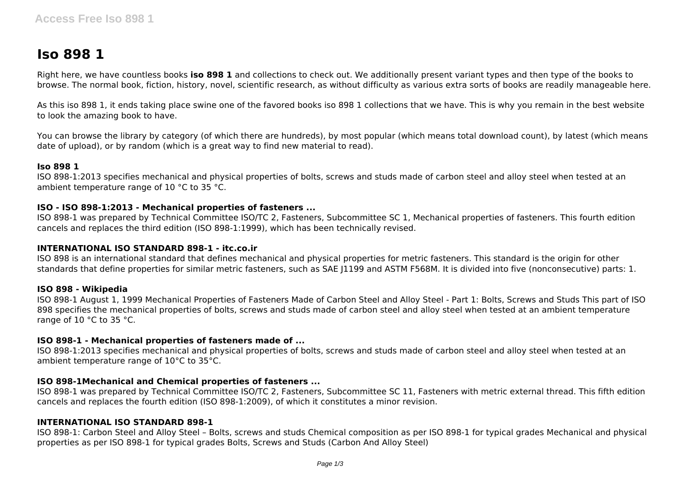# **Iso 898 1**

Right here, we have countless books **iso 898 1** and collections to check out. We additionally present variant types and then type of the books to browse. The normal book, fiction, history, novel, scientific research, as without difficulty as various extra sorts of books are readily manageable here.

As this iso 898 1, it ends taking place swine one of the favored books iso 898 1 collections that we have. This is why you remain in the best website to look the amazing book to have.

You can browse the library by category (of which there are hundreds), by most popular (which means total download count), by latest (which means date of upload), or by random (which is a great way to find new material to read).

## **Iso 898 1**

ISO 898-1:2013 specifies mechanical and physical properties of bolts, screws and studs made of carbon steel and alloy steel when tested at an ambient temperature range of 10 °C to 35 °C.

## **ISO - ISO 898-1:2013 - Mechanical properties of fasteners ...**

ISO 898-1 was prepared by Technical Committee ISO/TC 2, Fasteners, Subcommittee SC 1, Mechanical properties of fasteners. This fourth edition cancels and replaces the third edition (ISO 898-1:1999), which has been technically revised.

## **INTERNATIONAL ISO STANDARD 898-1 - itc.co.ir**

ISO 898 is an international standard that defines mechanical and physical properties for metric fasteners. This standard is the origin for other standards that define properties for similar metric fasteners, such as SAE J1199 and ASTM F568M. It is divided into five (nonconsecutive) parts: 1.

#### **ISO 898 - Wikipedia**

ISO 898-1 August 1, 1999 Mechanical Properties of Fasteners Made of Carbon Steel and Alloy Steel - Part 1: Bolts, Screws and Studs This part of ISO 898 specifies the mechanical properties of bolts, screws and studs made of carbon steel and alloy steel when tested at an ambient temperature range of 10 °C to 35 °C.

#### **ISO 898-1 - Mechanical properties of fasteners made of ...**

ISO 898-1:2013 specifies mechanical and physical properties of bolts, screws and studs made of carbon steel and alloy steel when tested at an ambient temperature range of 10°C to 35°C.

# **ISO 898-1Mechanical and Chemical properties of fasteners ...**

ISO 898-1 was prepared by Technical Committee ISO/TC 2, Fasteners, Subcommittee SC 11, Fasteners with metric external thread. This fifth edition cancels and replaces the fourth edition (ISO 898-1:2009), of which it constitutes a minor revision.

#### **INTERNATIONAL ISO STANDARD 898-1**

ISO 898-1: Carbon Steel and Alloy Steel – Bolts, screws and studs Chemical composition as per ISO 898-1 for typical grades Mechanical and physical properties as per ISO 898-1 for typical grades Bolts, Screws and Studs (Carbon And Alloy Steel)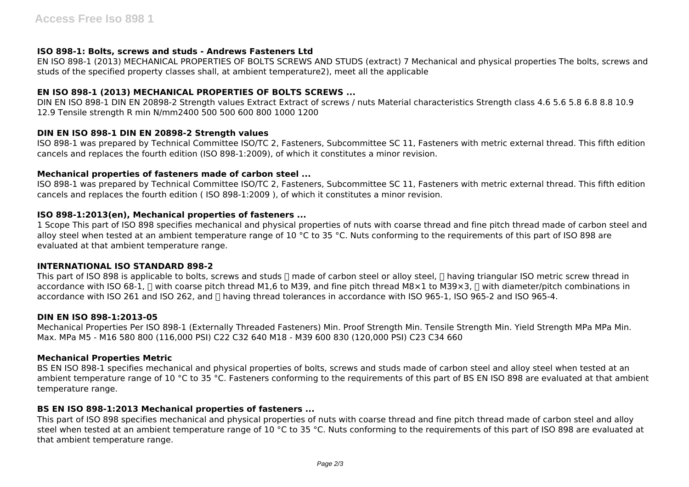# **ISO 898-1: Bolts, screws and studs - Andrews Fasteners Ltd**

EN ISO 898-1 (2013) MECHANICAL PROPERTIES OF BOLTS SCREWS AND STUDS (extract) 7 Mechanical and physical properties The bolts, screws and studs of the specified property classes shall, at ambient temperature2), meet all the applicable

# **EN ISO 898-1 (2013) MECHANICAL PROPERTIES OF BOLTS SCREWS ...**

DIN EN ISO 898-1 DIN EN 20898-2 Strength values Extract Extract of screws / nuts Material characteristics Strength class 4.6 5.6 5.8 6.8 8.8 10.9 12.9 Tensile strength R min N/mm2400 500 500 600 800 1000 1200

# **DIN EN ISO 898-1 DIN EN 20898-2 Strength values**

ISO 898-1 was prepared by Technical Committee ISO/TC 2, Fasteners, Subcommittee SC 11, Fasteners with metric external thread. This fifth edition cancels and replaces the fourth edition (ISO 898-1:2009), of which it constitutes a minor revision.

# **Mechanical properties of fasteners made of carbon steel ...**

ISO 898-1 was prepared by Technical Committee ISO/TC 2, Fasteners, Subcommittee SC 11, Fasteners with metric external thread. This fifth edition cancels and replaces the fourth edition ( ISO 898-1:2009 ), of which it constitutes a minor revision.

# **ISO 898-1:2013(en), Mechanical properties of fasteners ...**

1 Scope This part of ISO 898 specifies mechanical and physical properties of nuts with coarse thread and fine pitch thread made of carbon steel and alloy steel when tested at an ambient temperature range of 10 °C to 35 °C. Nuts conforming to the requirements of this part of ISO 898 are evaluated at that ambient temperature range.

# **INTERNATIONAL ISO STANDARD 898-2**

This part of ISO 898 is applicable to bolts, screws and studs  $\Box$  made of carbon steel or alloy steel.  $\Box$  having triangular ISO metric screw thread in accordance with ISO 68-1,  $\Box$  with coarse pitch thread M1,6 to M39, and fine pitch thread M8×1 to M39×3,  $\Box$  with diameter/pitch combinations in accordance with ISO 261 and ISO 262, and □ having thread tolerances in accordance with ISO 965-1, ISO 965-2 and ISO 965-4.

# **DIN EN ISO 898-1:2013-05**

Mechanical Properties Per ISO 898-1 (Externally Threaded Fasteners) Min. Proof Strength Min. Tensile Strength Min. Yield Strength MPa MPa Min. Max. MPa M5 - M16 580 800 (116,000 PSI) C22 C32 640 M18 - M39 600 830 (120,000 PSI) C23 C34 660

# **Mechanical Properties Metric**

BS EN ISO 898-1 specifies mechanical and physical properties of bolts, screws and studs made of carbon steel and alloy steel when tested at an ambient temperature range of 10 °C to 35 °C. Fasteners conforming to the requirements of this part of BS EN ISO 898 are evaluated at that ambient temperature range.

# **BS EN ISO 898-1:2013 Mechanical properties of fasteners ...**

This part of ISO 898 specifies mechanical and physical properties of nuts with coarse thread and fine pitch thread made of carbon steel and alloy steel when tested at an ambient temperature range of 10 °C to 35 °C. Nuts conforming to the requirements of this part of ISO 898 are evaluated at that ambient temperature range.